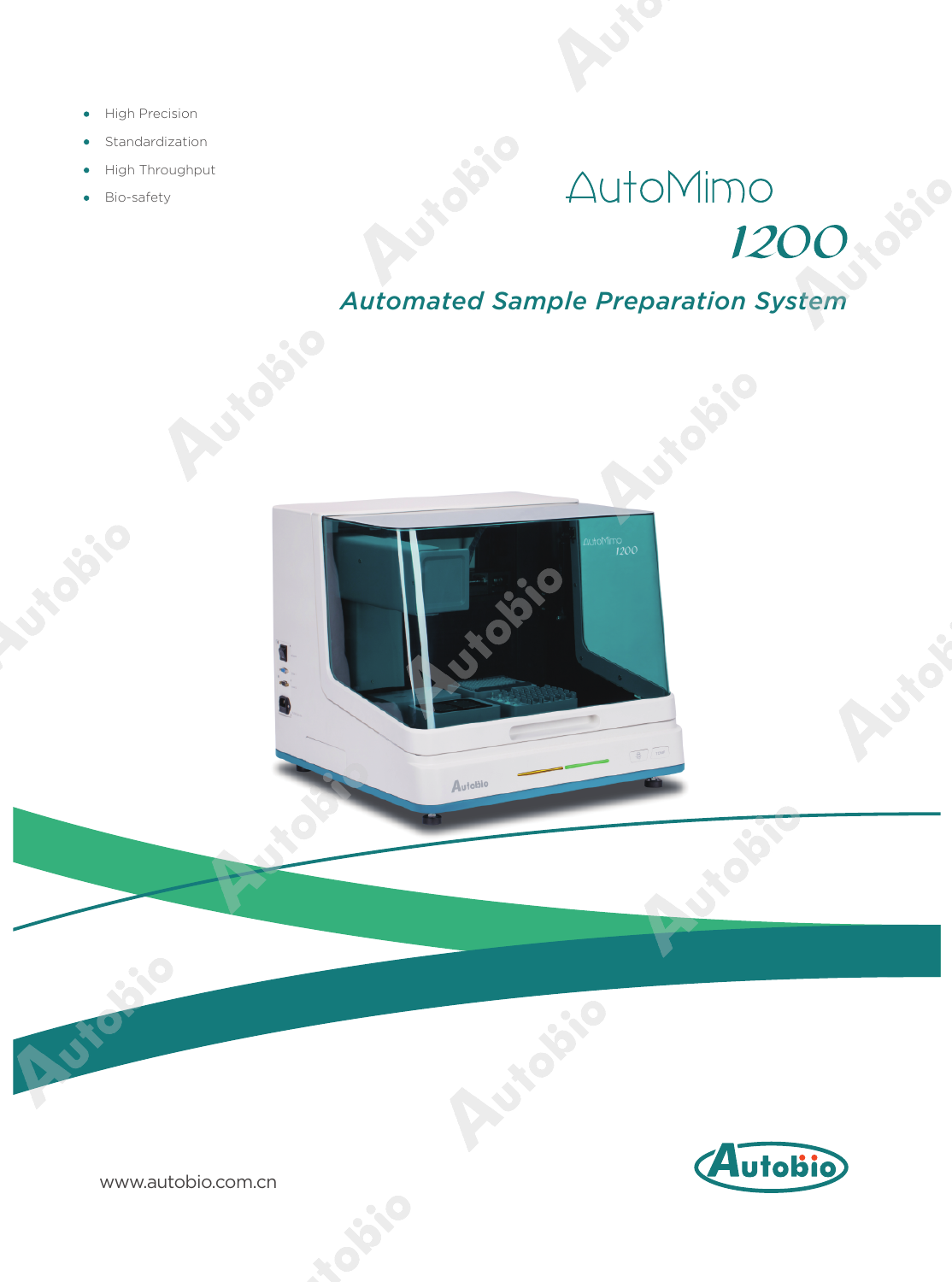- High Precision ò
- Standardization
- High Throughput
- Bio-safety

# AutoMimo no<br>1200 - 8

*Automated Sample Preparation System*



Australie



www.autobio.com.cn

**ADON** 

OF C